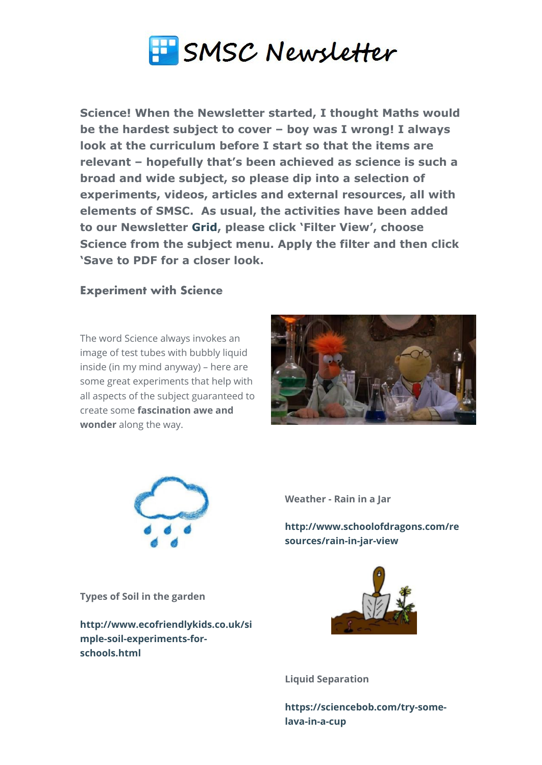

**Science! When the Newsletter started, I thought Maths would be the hardest subject to cover – boy was I wrong! I always look at the curriculum before I start so that the items are relevant – hopefully that's been achieved as science is such a broad and wide subject, so please dip into a selection of experiments, videos, articles and external resources, all with elements of SMSC. As usual, the activities have been added to our Newsletter [Grid,](http://www.gridmaker.net/newsletter/view) please click 'Filter View', choose Science from the subject menu. Apply the filter and then click 'Save to PDF for a closer look.**

## **Experiment with Science**

The word Science always invokes an image of test tubes with bubbly liquid inside (in my mind anyway) – here are some great experiments that help with all aspects of the subject guaranteed to create some **fascination awe and wonder** along the way.





**Weather - Rain in a Jar**

**[http://www.schoolofdragons.com/re](http://www.schoolofdragons.com/resources/rain-in-jar-view) sources/rain-in-jar-view** 

**Types of Soil in the garden**

**[http://www.ecofriendlykids.co.uk/si](http://www.ecofriendlykids.co.uk/simple-soil-experiments-for-schools.html) mple-soil-experiments-forschools.html**



**Liquid Separation**

**[https://sciencebob.com/try-some](https://sciencebob.com/try-some-lava-in-a-cup)lava-in-a-cup**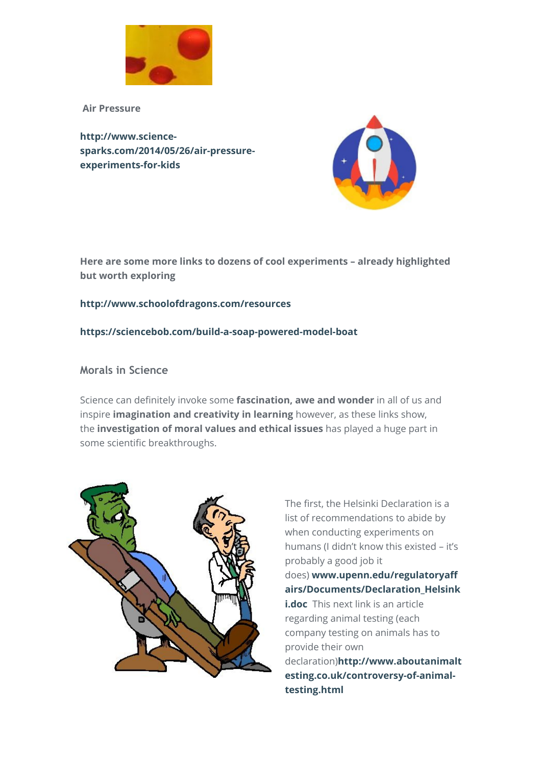

 **Air Pressure**

**http://www.science[sparks.com/2014/05/26/air-pressure](http://www.science-sparks.com/2014/05/26/air-pressure-experiments-for-kids)experiments-for-kids**



**Here are some more links to dozens of cool experiments – already highlighted but worth exploring**

### **<http://www.schoolofdragons.com/resources>**

### **<https://sciencebob.com/build-a-soap-powered-model-boat>**

## **Morals in Science**

Science can definitely invoke some **fascination, awe and wonder** in all of us and inspire **imagination and creativity in learning** however, as these links show, the **investigation of moral values and ethical issues** has played a huge part in some scientific breakthroughs.



The first, the Helsinki Declaration is a list of recommendations to abide by when conducting experiments on humans (I didn't know this existed – it's probably a good job it does) **www.upenn.edu/regulatoryaff [airs/Documents/Declaration\\_Helsink](http://www.upenn.edu/regulatoryaffairs/Documents/Declaration_Helsinki.doc) i.doc** This next link is an article regarding animal testing (each company testing on animals has to provide their own declaration)**http://www.aboutanimalt [esting.co.uk/controversy-of-animal](http://www.aboutanimaltesting.co.uk/controversy-of-animal-testing.html)testing.html**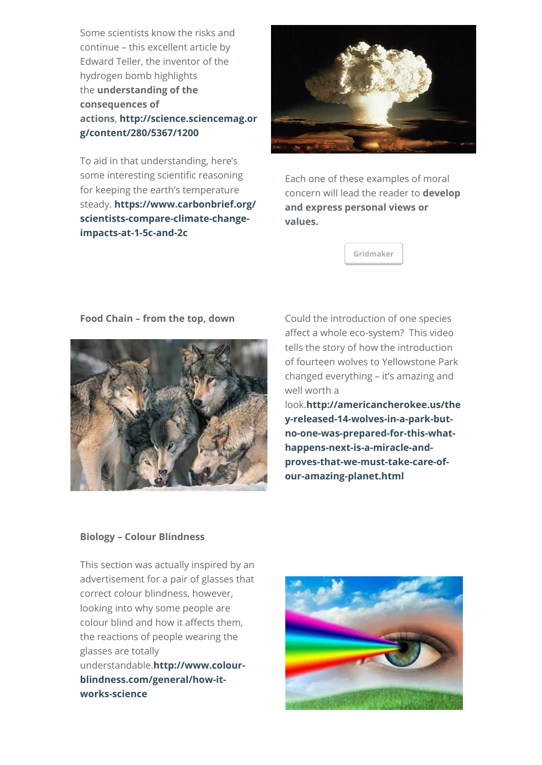Some scientists know the risks and continue – this excellent article by Edward Teller, the inventor of the hydrogen bomb highlights the **understanding of the consequences of actions**, **[http://science.sciencemag.or](http://science.sciencemag.org/content/280/5367/1200) g/content/280/5367/1200**

To aid in that understanding, here's some interesting scientific reasoning for keeping the earth's temperature steady. **https://www.carbonbrief.org/ [scientists-compare-climate-change](https://www.carbonbrief.org/scientists-compare-climate-change-impacts-at-1-5c-and-2c)impacts-at-1-5c-and-2c**



Each one of these examples of moral concern will lead the reader to **develop and express personal views or values.** 

**[Gridmaker](http://smsc.opeus.org/)**

#### **Food Chain – from the top, down** Could the introduction of one species



affect a whole eco-system? This video tells the story of how the introduction of fourteen wolves to Yellowstone Park changed everything – it's amazing and well worth a

look.**http://americancherokee.us/the y-released-14-wolves-in-a-park-but[no-one-was-prepared-for-this-what](http://americancherokee.us/they-released-14-wolves-in-a-park-but-no-one-was-prepared-for-this-what-happens-next-is-a-miracle-and-proves-that-we-must-take-care-of-our-amazing-planet.html)happens-next-is-a-miracle-andproves-that-we-must-take-care-ofour-amazing-planet.html**

#### **Biology – Colour Blindness**

This section was actually inspired by an advertisement for a pair of glasses that correct colour blindness, however, looking into why some people are colour blind and how it affects them, the reactions of people wearing the glasses are totally understandable.**http://www.colour[blindness.com/general/how-it](http://www.colour-blindness.com/general/how-it-works-science)works-science**

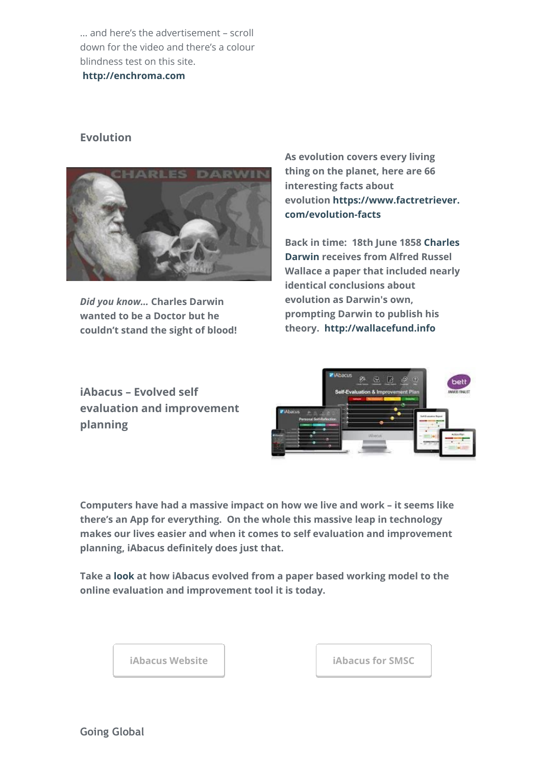… and here's the advertisement – scroll down for the video and there's a colour blindness test on this site.

**[http://enchroma.com](http://enchroma.com/)**

# **Evolution**



*Did you know…* **Charles Darwin wanted to be a Doctor but he couldn't stand the sight of blood!** **As evolution covers every living thing on the planet, here are 66 interesting facts about [evolution https://www.factretriever.](https://www.factretriever.com/evolution-facts) com/evolution-facts**

**[Back in time: 18th June 1858 Charles](https://en.wikipedia.org/wiki/Charles_Darwin) Darwin receives from Alfred Russel Wallace a paper that included nearly identical conclusions about evolution as Darwin's own, prompting Darwin to publish his theory.  [http://wallacefund.info](http://wallacefund.info/)**

**iAbacus – Evolved self evaluation and improvement planning**



**Computers have had a massive impact on how we live and work – it seems like there's an App for everything. On the whole this massive leap in technology makes our lives easier and when it comes to self evaluation and improvement planning, iAbacus definitely does just that.** 

**Take a [look](https://www.iabacus.co.uk/model/) at how iAbacus evolved from a paper based working model to the online evaluation and improvement tool it is today.**

**[iAbacus Website](https://www.iabacus.co.uk/) [iAbacus for SMSC](https://smsc.iabacus.co.uk/)**

**Going Global**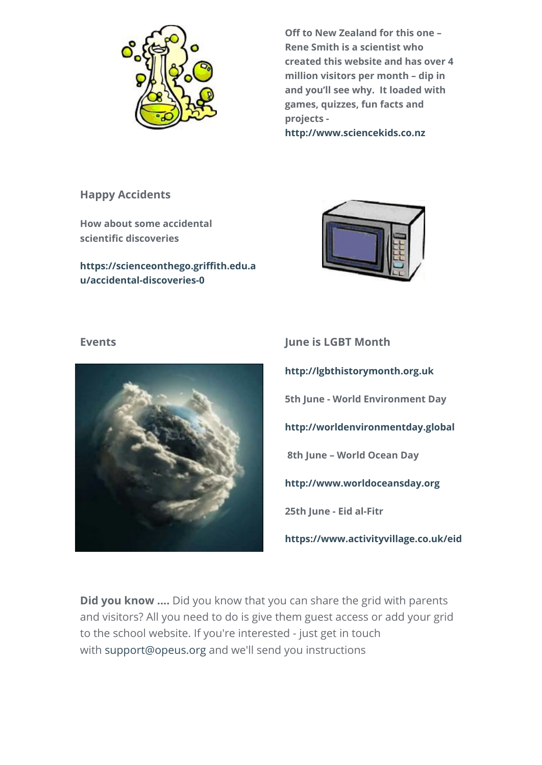

**Off to New Zealand for this one – Rene Smith is a scientist who created this website and has over 4 million visitors per month – dip in and you'll see why. It loaded with games, quizzes, fun facts and projects -**

**[http://www.sciencekids.co.nz](http://www.sciencekids.co.nz/)**

# **Happy Accidents**

**How about some accidental scientific discoveries**

**[https://scienceonthego.griffith.edu.a](https://scienceonthego.griffith.edu.au/accidental-discoveries-0) u/accidental-discoveries-0**





**Events June is LGBT Month [http://lgbthistorymonth.org.uk](http://lgbthistorymonth.org.uk/) 5th June - World Environment Day [http://worldenvironmentday.global](http://worldenvironmentday.global/) 8th June – World Ocean Day [http://www.worldoceansday.org](http://www.worldoceansday.org/) 25th June - Eid al-Fitr <https://www.activityvillage.co.uk/eid>**

**Did you know ....** Did you know that you can share the grid with parents and visitors? All you need to do is give them guest access or add your grid to the school website. If you're interested - just get in touch with [support@opeus.org](mailto:support@opeus.org) and we'll send you instructions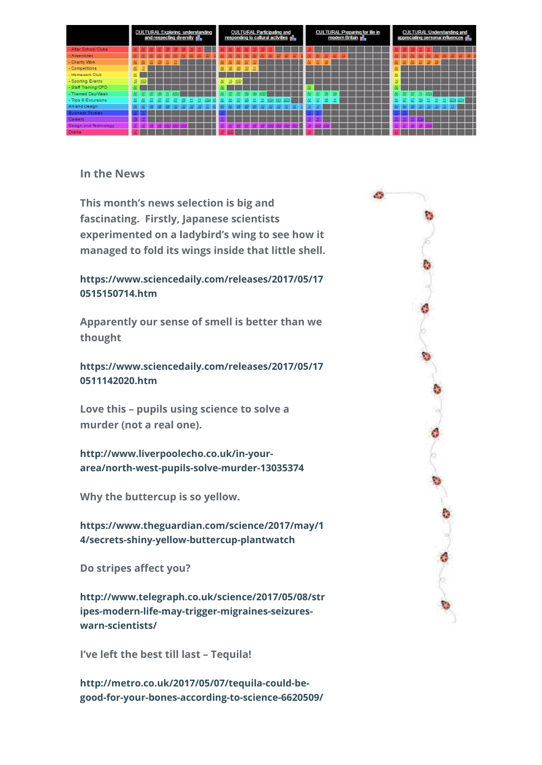|                         | <b>CULTURAL Exploring, understanding</b><br>and respecting diversity <b>no</b> |     |  |  |  |  |  |  |  | <b>CULTURAL Participating and</b><br>responding to cultural activities no |  |    |    |     |  |  |  |  | <b>CULTURAL: Preparing for life in</b><br>modern Britain |  |  |   |  |  |  | <b>CULTURAL: Understanding and</b><br>appreciating personal influences pl |  |  |  |  |  |  |  |  |  |  |  |  |
|-------------------------|--------------------------------------------------------------------------------|-----|--|--|--|--|--|--|--|---------------------------------------------------------------------------|--|----|----|-----|--|--|--|--|----------------------------------------------------------|--|--|---|--|--|--|---------------------------------------------------------------------------|--|--|--|--|--|--|--|--|--|--|--|--|
| - After School Clubs    |                                                                                |     |  |  |  |  |  |  |  |                                                                           |  |    |    |     |  |  |  |  |                                                          |  |  |   |  |  |  |                                                                           |  |  |  |  |  |  |  |  |  |  |  |  |
| - Assemblies            |                                                                                |     |  |  |  |  |  |  |  |                                                                           |  |    |    |     |  |  |  |  |                                                          |  |  |   |  |  |  |                                                                           |  |  |  |  |  |  |  |  |  |  |  |  |
| - Charity Work          |                                                                                |     |  |  |  |  |  |  |  |                                                                           |  |    |    |     |  |  |  |  |                                                          |  |  |   |  |  |  |                                                                           |  |  |  |  |  |  |  |  |  |  |  |  |
| - Competitions          |                                                                                |     |  |  |  |  |  |  |  |                                                                           |  |    |    |     |  |  |  |  |                                                          |  |  |   |  |  |  |                                                                           |  |  |  |  |  |  |  |  |  |  |  |  |
| - Homework Club         | 셷.                                                                             |     |  |  |  |  |  |  |  |                                                                           |  |    |    |     |  |  |  |  |                                                          |  |  |   |  |  |  |                                                                           |  |  |  |  |  |  |  |  |  |  |  |  |
| - Sporting Events       | 10                                                                             | KG3 |  |  |  |  |  |  |  |                                                                           |  | N. | 10 | KS3 |  |  |  |  |                                                          |  |  |   |  |  |  |                                                                           |  |  |  |  |  |  |  |  |  |  |  |  |
| - Staff Training/CPD    | 丛                                                                              |     |  |  |  |  |  |  |  |                                                                           |  |    |    |     |  |  |  |  |                                                          |  |  |   |  |  |  |                                                                           |  |  |  |  |  |  |  |  |  |  |  |  |
| - Themed Day/Week       |                                                                                |     |  |  |  |  |  |  |  |                                                                           |  |    |    |     |  |  |  |  |                                                          |  |  |   |  |  |  |                                                                           |  |  |  |  |  |  |  |  |  |  |  |  |
| - Trips & Excursions    |                                                                                |     |  |  |  |  |  |  |  |                                                                           |  |    |    |     |  |  |  |  |                                                          |  |  |   |  |  |  |                                                                           |  |  |  |  |  |  |  |  |  |  |  |  |
| Art and Design          |                                                                                |     |  |  |  |  |  |  |  |                                                                           |  |    |    |     |  |  |  |  |                                                          |  |  | ш |  |  |  |                                                                           |  |  |  |  |  |  |  |  |  |  |  |  |
| <b>Business Studies</b> |                                                                                |     |  |  |  |  |  |  |  |                                                                           |  |    |    |     |  |  |  |  |                                                          |  |  |   |  |  |  |                                                                           |  |  |  |  |  |  |  |  |  |  |  |  |
| Careers                 |                                                                                |     |  |  |  |  |  |  |  |                                                                           |  |    |    |     |  |  |  |  |                                                          |  |  |   |  |  |  |                                                                           |  |  |  |  |  |  |  |  |  |  |  |  |
| Design and Technology   |                                                                                |     |  |  |  |  |  |  |  |                                                                           |  |    |    |     |  |  |  |  |                                                          |  |  |   |  |  |  |                                                                           |  |  |  |  |  |  |  |  |  |  |  |  |
| Drama                   |                                                                                |     |  |  |  |  |  |  |  |                                                                           |  |    |    |     |  |  |  |  |                                                          |  |  |   |  |  |  |                                                                           |  |  |  |  |  |  |  |  |  |  |  |  |

# **In the News**

**This month's news selection is big and fascinating. Firstly, Japanese scientists experimented on a ladybird's wing to see how it managed to fold its wings inside that little shell.**

# **[https://www.sciencedaily.com/releases/2017/05/17](https://www.sciencedaily.com/releases/2017/05/170515150714.htm) 0515150714.htm**

**Apparently our sense of smell is better than we thought**

**[https://www.sciencedaily.com/releases/2017/05/17](https://www.sciencedaily.com/releases/2017/05/170511142020.htm) 0511142020.htm**

**Love this – pupils using science to solve a murder (not a real one).**

**http://www.liverpoolecho.co.uk/in-your[area/north-west-pupils-solve-murder-13035374](http://www.liverpoolecho.co.uk/in-your-area/north-west-pupils-solve-murder-13035374)**

**Why the buttercup is so yellow.**

**[https://www.theguardian.com/science/2017/may/1](https://www.theguardian.com/science/2017/may/14/secrets-shiny-yellow-buttercup-plantwatch) 4/secrets-shiny-yellow-buttercup-plantwatch**

**Do stripes affect you?**

**[http://www.telegraph.co.uk/science/2017/05/08/str](http://www.telegraph.co.uk/science/2017/05/08/stripes-modern-life-may-trigger-migraines-seizures-warn-scientists/) ipes-modern-life-may-trigger-migraines-seizureswarn-scientists/**

**I've left the best till last – Tequila!**

**http://metro.co.uk/2017/05/07/tequila-could-be[good-for-your-bones-according-to-science-6620509/](http://metro.co.uk/2017/05/07/tequila-could-be-good-for-your-bones-according-to-science-6620509/)**



d)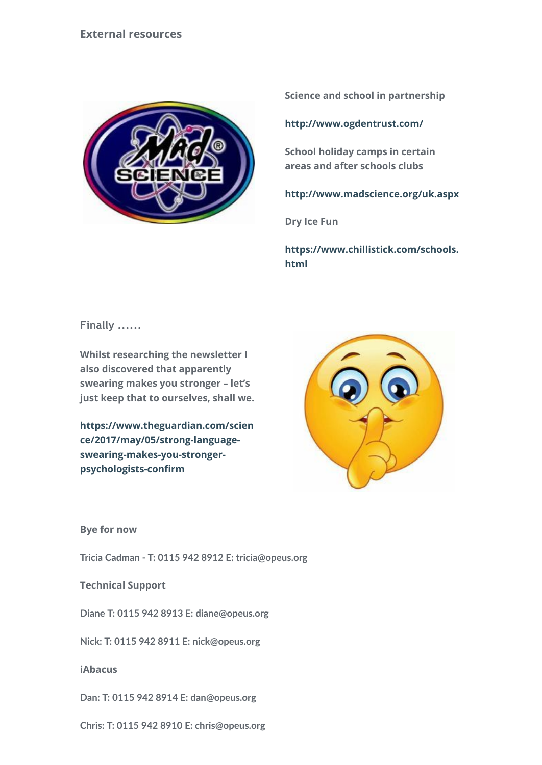

**Science and school in partnership**

**<http://www.ogdentrust.com/>**

**School holiday camps in certain areas and after schools clubs**

**<http://www.madscience.org/uk.aspx>**

**Dry Ice Fun**

**[https://www.chillistick.com/schools.](https://www.chillistick.com/schools.html) html**

**Finally ......**

**Whilst researching the newsletter I also discovered that apparently swearing makes you stronger – let's just keep that to ourselves, shall we.**

**[https://www.theguardian.com/scien](https://www.theguardian.com/science/2017/may/05/strong-language-swearing-makes-you-stronger-psychologists-confirm) ce/2017/may/05/strong-languageswearing-makes-you-strongerpsychologists-confirm**



**Bye for now**

**Tricia Cadman ‑ T: 0115 942 8912 E: tricia@opeus.org**

**Technical Support**

**Diane T: 0115 942 8913 E: diane@opeus.org**

**Nick: T: 0115 942 8911 E: nick@opeus.org**

**iAbacus**

**Dan: T: 0115 942 8914 E: dan@opeus.org**

**Chris: T: 0115 942 8910 E: chris@opeus.org**